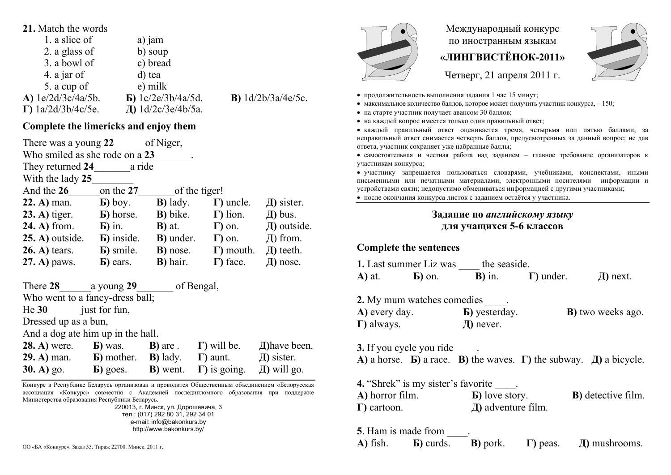#### **21.** Match the words

| 1. a slice of              | a) jam                    |
|----------------------------|---------------------------|
| 2. a glass of              | b) soup                   |
| 3. a bowl of               | c) bread                  |
| 4. a jar of                | d) tea                    |
| 5. a cup of                | e) milk                   |
| A) 1e/2d/3c/4a/5b.         | $\bf{E})$ 1c/2e/3b/4a/5d. |
| $\Gamma$ ) 1a/2d/3b/4c/5e. | Д) 1d/2c/3e/4b/5a.        |

## **Complete the limericks and enjoy them**

| of Niger,<br>There was a young 22 |                     |                   |                   |                 |
|-----------------------------------|---------------------|-------------------|-------------------|-----------------|
| Who smiled as she rode on a 23    |                     |                   |                   |                 |
| They returned 24                  | a ride              |                   |                   |                 |
| With the lady 25                  |                     |                   |                   |                 |
| And the 26                        | on the 27           | of the tiger!     |                   |                 |
| $22. A)$ man.                     | $\mathbf{E}$ ) boy. | <b>B</b> ) lady.  | $\Gamma$ ) uncle. | $\pi$ ) sister. |
| $(23. A)$ tiger.                  | <b>B</b> ) horse.   | <b>B</b> ) bike.  | $\Gamma$ ) lion.  | $\pi$ ) bus.    |
| <b>24. A)</b> from.               | $\mathbf{E}$ ) in.  | $\bf{B}$ ) at.    | $\Gamma$ ) on.    | Д) outside.     |
| $25. A)$ outside.                 | <b>B</b> ) inside.  | <b>B</b> ) under. | $\Gamma$ ) on.    | $\pi$ ) from.   |
| $26. A)$ tears.                   | <b>b</b> ) smile.   | <b>B</b> ) nose.  | $\Gamma$ ) mouth. | $\pi$ ) teeth.  |
| 27. A) paws.                      | <b>b</b> ) ears.    | B) hair.          | $\Gamma$ ) face.  | $\pi$ ) nose.   |

**В)** 1d/2b/3a/4e/5c.

| There 28                          | a young 29                      |                  | of Bengal,           |                  |
|-----------------------------------|---------------------------------|------------------|----------------------|------------------|
|                                   | Who went to a fancy-dress ball; |                  |                      |                  |
| $He$ 30                           | just for fun,                   |                  |                      |                  |
|                                   | Dressed up as a bun,            |                  |                      |                  |
| And a dog ate him up in the hall. |                                 |                  |                      |                  |
| <b>28. A)</b> were.               | <b>b</b> ) was.                 | <b>B</b> ) are . | $\Gamma$ ) will be.  | Д) have been.    |
| $29. A)$ man.                     | <b>B</b> ) mother.              | <b>B</b> ) lady. | $\Gamma$ ) aunt.     | $\pi$ ) sister.  |
| $30. A)$ go.                      | $\bf{E}$ ) goes.                | <b>B</b> ) went. | $\Gamma$ ) is going. | $\pi$ ) will go. |

Конкурс <sup>в</sup> Республике Беларусь организован <sup>и</sup> проводится Общественным объединением «Белорусская ассоциация «Конкурс» совместно <sup>с</sup> Академией последипломного образования при поддержке Министерства образования Республики Беларусь.

220013, <sup>г</sup>. Минск, ул. Дорошевича, 3 тел.: (017) 292 80 31, 292 34 01 e-mail: info@bakonkurs.by http://www.bakonkurs.by/



# Международный конкурс по иностранным языкам **«ЛИНГВИСТЁНОК-2011»**



Четверг, 21 апреля 2011 г.

- продолжительность выполнения задания 1 час 15 минут;
- максимальное количество баллов, которое может получить участник конкурса,  $-150$ ;
- на старте участник получает авансом 30 баллов;
- на каждый вопрос имеется только один правильный ответ;

 каждый правильный ответ оценивается тремя, четырьмя или пятью баллами; за неправильный ответ снимается четверть баллов, предусмотренных за данный вопрос; не дав ответа, участник сохраняет уже набранные баллы;

 самостоятельная и честная работа над заданием – главное требование организаторов <sup>к</sup> участникам конкурса;

 участнику запрещается пользоваться словарями, учебниками, конспектами, иными письменными или печатными материалами, электронными носителями информации <sup>и</sup> устройствами связи; недопустимо обмениваться информацией <sup>с</sup> другими участниками;

#### после окончания конкурса листок <sup>с</sup> заданием остаётся у участника.

#### **Задание по** *английскому языку* **для учащихся 5-6 классов**

### **Complete the sentences**

|                | 1. Last summer Liz was | the seaside.   |                   |               |
|----------------|------------------------|----------------|-------------------|---------------|
| <b>A</b> ) at. | $\mathbf{E}$ ) on.     | $\bf{B}$ ) in. | $\Gamma$ ) under. | $\pi$ ) next. |

| 2. My mum watches comedies |                       |                           |
|----------------------------|-----------------------|---------------------------|
| A) every day.              | <b>b</b> ) yesterday. | <b>B</b> ) two weeks ago. |
| $\Gamma$ ) always.         | $\mu$ ) never.        |                           |

**3.** If you cycle you ride  $\qquad$ . **A**) a horse. **b**) a race. **B**) the waves.  $\Gamma$ ) the subway.  $\Box$ ) a bicycle.

**4.** "Shrek" is my sister's favorite **А)** horror film. **Б)** love story. **В)** detective film. **Г)** cartoon. **Д)** adventure film.

**5**. Ham is made from  $\qquad$ . **А)** fish. **Б)** curds. **В)** pork. **Г)** peas. ОО «БА «Конкурс». Заказ 35. Тираж 22700. Минск. 2011 г. **Д**) mushrooms. **A** and **A** and **F** and **F** and **F** and **F** and **F** and **F** and **F** and **F** and **F** and **F** and **F** and **F** and **F** and **F** and **F** and **F** and **F**